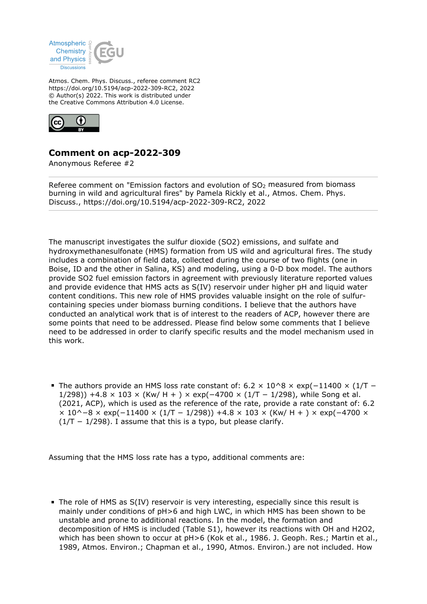

Atmos. Chem. Phys. Discuss., referee comment RC2 https://doi.org/10.5194/acp-2022-309-RC2, 2022 © Author(s) 2022. This work is distributed under the Creative Commons Attribution 4.0 License.



## **Comment on acp-2022-309**

Anonymous Referee #2

Referee comment on "Emission factors and evolution of  $SO<sub>2</sub>$  measured from biomass burning in wild and agricultural fires" by Pamela Rickly et al., Atmos. Chem. Phys. Discuss., https://doi.org/10.5194/acp-2022-309-RC2, 2022

The manuscript investigates the sulfur dioxide (SO2) emissions, and sulfate and hydroxymethanesulfonate (HMS) formation from US wild and agricultural fires. The study includes a combination of field data, collected during the course of two flights (one in Boise, ID and the other in Salina, KS) and modeling, using a 0-D box model. The authors provide SO2 fuel emission factors in agreement with previously literature reported values and provide evidence that HMS acts as S(IV) reservoir under higher pH and liquid water content conditions. This new role of HMS provides valuable insight on the role of sulfurcontaining species under biomass burning conditions. I believe that the authors have conducted an analytical work that is of interest to the readers of ACP, however there are some points that need to be addressed. Please find below some comments that I believe need to be addressed in order to clarify specific results and the model mechanism used in this work.

The authors provide an HMS loss rate constant of:  $6.2 \times 10^{6} \times \exp(-11400 \times (1/T -$ 1/298)) +4.8 × 103 × (Kw/ H + ) × exp(-4700 × (1/T − 1/298), while Song et al. (2021, ACP), which is used as the reference of the rate, provide a rate constant of: 6.2  $\times$  10^−8 × exp(-11400 × (1/T – 1/298)) +4.8 × 103 × (Kw/ H + ) × exp(-4700 ×  $(1/T - 1/298)$ . I assume that this is a typo, but please clarify.

Assuming that the HMS loss rate has a typo, additional comments are:

The role of HMS as S(IV) reservoir is very interesting, especially since this result is mainly under conditions of  $pH>6$  and high LWC, in which HMS has been shown to be unstable and prone to additional reactions. In the model, the formation and decomposition of HMS is included (Table S1), however its reactions with OH and H2O2, which has been shown to occur at pH>6 (Kok et al., 1986. J. Geoph. Res.; Martin et al., 1989, Atmos. Environ.; Chapman et al., 1990, Atmos. Environ.) are not included. How